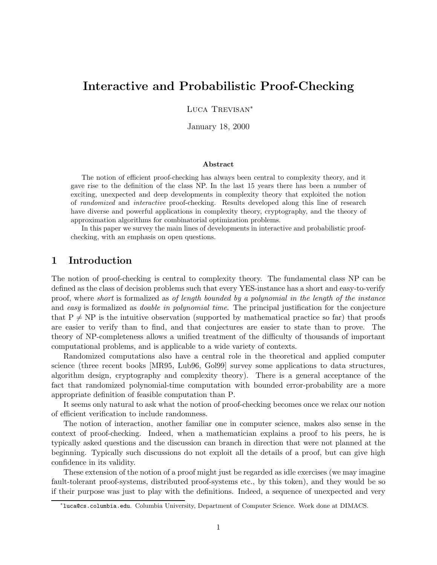# Interactive and Probabilistic Proof-Checking

Luca Trevisan<sup>∗</sup>

January 18, 2000

#### Abstract

The notion of efficient proof-checking has always been central to complexity theory, and it gave rise to the definition of the class NP. In the last 15 years there has been a number of exciting, unexpected and deep developments in complexity theory that exploited the notion of randomized and interactive proof-checking. Results developed along this line of research have diverse and powerful applications in complexity theory, cryptography, and the theory of approximation algorithms for combinatorial optimization problems.

In this paper we survey the main lines of developments in interactive and probabilistic proofchecking, with an emphasis on open questions.

### 1 Introduction

The notion of proof-checking is central to complexity theory. The fundamental class NP can be defined as the class of decision problems such that every YES-instance has a short and easy-to-verify proof, where short is formalized as of length bounded by a polynomial in the length of the instance and easy is formalized as *doable in polynomial time*. The principal justification for the conjecture that  $P \neq NP$  is the intuitive observation (supported by mathematical practice so far) that proofs are easier to verify than to find, and that conjectures are easier to state than to prove. The theory of NP-completeness allows a unified treatment of the difficulty of thousands of important computational problems, and is applicable to a wide variety of contexts.

Randomized computations also have a central role in the theoretical and applied computer science (three recent books [MR95, Lub96, Gol99] survey some applications to data structures, algorithm design, cryptography and complexity theory). There is a general acceptance of the fact that randomized polynomial-time computation with bounded error-probability are a more appropriate definition of feasible computation than P.

It seems only natural to ask what the notion of proof-checking becomes once we relax our notion of efficient verification to include randomness.

The notion of interaction, another familiar one in computer science, makes also sense in the context of proof-checking. Indeed, when a mathematician explains a proof to his peers, he is typically asked questions and the discussion can branch in direction that were not planned at the beginning. Typically such discussions do not exploit all the details of a proof, but can give high confidence in its validity.

These extension of the notion of a proof might just be regarded as idle exercises (we may imagine fault-tolerant proof-systems, distributed proof-systems etc., by this token), and they would be so if their purpose was just to play with the definitions. Indeed, a sequence of unexpected and very

<sup>∗</sup> luca@cs.columbia.edu. Columbia University, Department of Computer Science. Work done at DIMACS.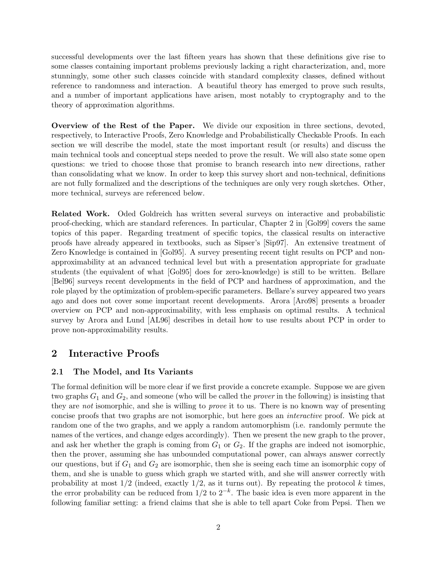successful developments over the last fifteen years has shown that these definitions give rise to some classes containing important problems previously lacking a right characterization, and, more stunningly, some other such classes coincide with standard complexity classes, defined without reference to randomness and interaction. A beautiful theory has emerged to prove such results, and a number of important applications have arisen, most notably to cryptography and to the theory of approximation algorithms.

Overview of the Rest of the Paper. We divide our exposition in three sections, devoted, respectively, to Interactive Proofs, Zero Knowledge and Probabilistically Checkable Proofs. In each section we will describe the model, state the most important result (or results) and discuss the main technical tools and conceptual steps needed to prove the result. We will also state some open questions: we tried to choose those that promise to branch research into new directions, rather than consolidating what we know. In order to keep this survey short and non-technical, definitions are not fully formalized and the descriptions of the techniques are only very rough sketches. Other, more technical, surveys are referenced below.

Related Work. Oded Goldreich has written several surveys on interactive and probabilistic proof-checking, which are standard references. In particular, Chapter 2 in [Gol99] covers the same topics of this paper. Regarding treatment of specific topics, the classical results on interactive proofs have already appeared in textbooks, such as Sipser's [Sip97]. An extensive treatment of Zero Knowledge is contained in [Gol95]. A survey presenting recent tight results on PCP and nonapproximability at an advanced technical level but with a presentation appropriate for graduate students (the equivalent of what [Gol95] does for zero-knowledge) is still to be written. Bellare [Bel96] surveys recent developments in the field of PCP and hardness of approximation, and the role played by the optimization of problem-specific parameters. Bellare's survey appeared two years ago and does not cover some important recent developments. Arora [Aro98] presents a broader overview on PCP and non-approximability, with less emphasis on optimal results. A technical survey by Arora and Lund [AL96] describes in detail how to use results about PCP in order to prove non-approximability results.

## 2 Interactive Proofs

### 2.1 The Model, and Its Variants

The formal definition will be more clear if we first provide a concrete example. Suppose we are given two graphs  $G_1$  and  $G_2$ , and someone (who will be called the *prover* in the following) is insisting that they are not isomorphic, and she is willing to prove it to us. There is no known way of presenting concise proofs that two graphs are not isomorphic, but here goes an interactive proof. We pick at random one of the two graphs, and we apply a random automorphism (i.e. randomly permute the names of the vertices, and change edges accordingly). Then we present the new graph to the prover, and ask her whether the graph is coming from  $G_1$  or  $G_2$ . If the graphs are indeed not isomorphic, then the prover, assuming she has unbounded computational power, can always answer correctly our questions, but if  $G_1$  and  $G_2$  are isomorphic, then she is seeing each time an isomorphic copy of them, and she is unable to guess which graph we started with, and she will answer correctly with probability at most  $1/2$  (indeed, exactly  $1/2$ , as it turns out). By repeating the protocol k times, the error probability can be reduced from  $1/2$  to  $2^{-k}$ . The basic idea is even more apparent in the following familiar setting: a friend claims that she is able to tell apart Coke from Pepsi. Then we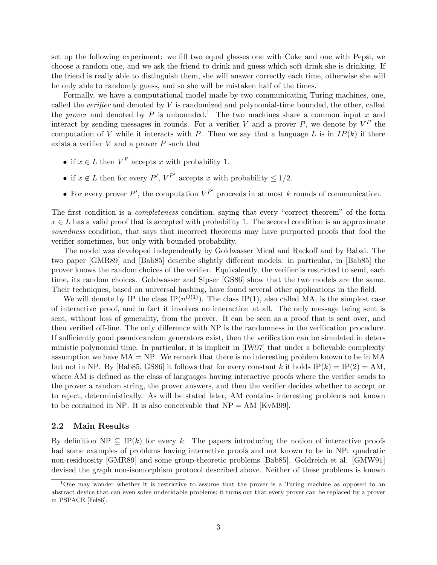set up the following experiment: we fill two equal glasses one with Coke and one with Pepsi, we choose a random one, and we ask the friend to drink and guess which soft drink she is drinking. If the friend is really able to distinguish them, she will answer correctly each time, otherwise she will be only able to randomly guess, and so she will be mistaken half of the times.

Formally, we have a computational model made by two communicating Turing machines, one, called the *verifier* and denoted by  $V$  is randomized and polynomial-time bounded, the other, called the prover and denoted by P is unbounded.<sup>1</sup> The two machines share a common input x and interact by sending messages in rounds. For a verifier V and a prover P, we denote by  $V^P$  the computation of V while it interacts with P. Then we say that a language L is in  $IP(k)$  if there exists a verifier  $V$  and a prover  $P$  such that

- if  $x \in L$  then  $V^P$  accepts x with probability 1.
- if  $x \notin L$  then for every  $P'$ ,  $V^{P'}$  accepts x with probability  $\leq 1/2$ .
- For every prover  $P'$ , the computation  $V^{P'}$  proceeds in at most k rounds of communication.

The first condition is a *completeness* condition, saying that every "correct theorem" of the form  $x \in L$  has a valid proof that is accepted with probability 1. The second condition is an approximate soundness condition, that says that incorrect theorems may have purported proofs that fool the verifier sometimes, but only with bounded probability.

The model was developed independently by Goldwasser Mical and Rackoff and by Babai. The two paper [GMR89] and [Bab85] describe slightly different models: in particular, in [Bab85] the prover knows the random choices of the verifier. Equivalently, the verifier is restricted to send, each time, its random choices. Goldwasser and Sipser [GS86] show that the two models are the same. Their techniques, based on universal hashing, have found several other applications in the field.

We will denote by IP the class  $IP(n^{O(1)})$ . The class IP(1), also called MA, is the simplest case of interactive proof, and in fact it involves no interaction at all. The only message being sent is sent, without loss of generality, from the prover. It can be seen as a proof that is sent over, and then verified off-line. The only difference with NP is the randomness in the verification procedure. If sufficiently good pseudorandom generators exist, then the verification can be simulated in deterministic polynomial time. In particular, it is implicit in [IW97] that under a believable complexity assumption we have  $MA = NP$ . We remark that there is no interesting problem known to be in  $MA$ but not in NP. By [Bab85, GS86] it follows that for every constant k it holds  $IP(k) = IP(2) = AM$ . where AM is defined as the class of languages having interactive proofs where the verifier sends to the prover a random string, the prover answers, and then the verifier decides whether to accept or to reject, deterministically. As will be stated later, AM contains interesting problems not known to be contained in NP. It is also conceivable that  $NP = AM$  [KvM99].

#### 2.2 Main Results

By definition NP  $\subseteq$  IP(k) for every k. The papers introducing the notion of interactive proofs had some examples of problems having interactive proofs and not known to be in NP: quadratic non-residuosity [GMR89] and some group-theoretic problems [Bab85]. Goldreich et al. [GMW91] devised the graph non-isomorphism protocol described above. Neither of these problems is known

<sup>&</sup>lt;sup>1</sup>One may wonder whether it is restrictive to assume that the prover is a Turing machine as opposed to an abstract device that can even solve undecidable problems; it turns out that every prover can be replaced by a prover in PSPACE [Fel86].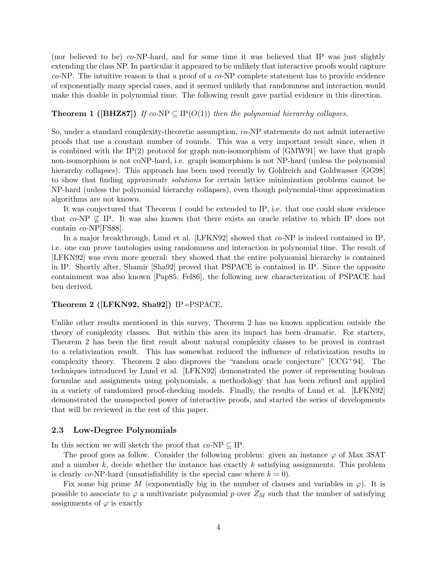(nor believed to be) co-NP-hard, and for some time it was believed that IP was just slightly extending the class NP. In particular it appeared to be unlikely that interactive proofs would capture  $co-NP$ . The intuitive reason is that a proof of a  $co-NP$  complete statement has to provide evidence of exponentially many special cases, and it seemed unlikely that randomness and interaction would make this doable in polynomial time. The following result gave partial evidence in this direction.

### **Theorem 1** ([BHZ87]) If co-NP  $\subseteq$  IP(O(1)) then the polynomial hierarchy collapses.

So, under a standard complexity-theoretic assumption, co-NP statements do not admit interactive proofs that use a constant number of rounds. This was a very important result since, when it is combined with the IP(2) protocol for graph non-isomorphism of  $[GMW91]$  we have that graph non-isomorphism is not coNP-hard, i.e. graph isomorphism is not NP-hard (unless the polynomial hierarchy collapses). This approach has been used recently by Goldreich and Goldwasser [GG98] to show that finding approximate solutions for certain lattice minimization problems cannot be NP-hard (unless the polynomial hierarchy collapses), even though polynomial-time approximation algorithms are not known.

It was conjectured that Theorem 1 could be extended to IP, i.e. that one could show evidence that co-NP  $\&$  IP. It was also known that there exists an oracle relative to which IP does not contain co-NP[FS88].

In a major breakthrough, Lund et al. [LFKN92] showed that  $co-NP$  is indeed contained in IP, i.e. one can prove tautologies using randomness and interaction in polynomial time. The result of [LFKN92] was even more general: they showed that the entire polynomial hierarchy is contained in IP. Shortly after, Shamir [Sha92] proved that PSPACE is contained in IP. Since the opposite containment was also known [Pap85, Fel86], the following new characterization of PSPACE had ben derived.

#### Theorem 2 ([LFKN92, Sha92]) IP=PSPACE.

Unlike other results mentioned in this survey, Theorem 2 has no known application outside the theory of complexity classes. But within this area its impact has been dramatic. For starters, Theorem 2 has been the first result about natural complexity classes to be proved in contrast to a relativization result. This has somewhat reduced the influence of relativization results in complexity theory. Theorem 2 also disproves the "random oracle conjecture"  $[CCG+94]$ . The techniques introduced by Lund et al. [LFKN92] demonstrated the power of representing boolean formulae and assignments using polynomials, a methodology that has been refined and applied in a variety of randomized proof-checking models. Finally, the results of Lund et al. [LFKN92] demonstrated the unsuspected power of interactive proofs, and started the series of developments that will be reviewed in the rest of this paper.

#### 2.3 Low-Degree Polynomials

In this section we will sketch the proof that  $co-NP \subseteq IP$ .

The proof goes as follow. Consider the following problem: given an instance  $\varphi$  of Max 3SAT and a number k, decide whether the instance has exactly k satisfying assignments. This problem is clearly co-NP-hard (unsatisfiability is the special case where  $k = 0$ ).

Fix some big prime M (exponentially big in the number of clauses and variables in  $\varphi$ ). It is possible to associate to  $\varphi$  a multivariate polynomial p over  $Z_M$  such that the number of satisfying assignments of  $\varphi$  is exactly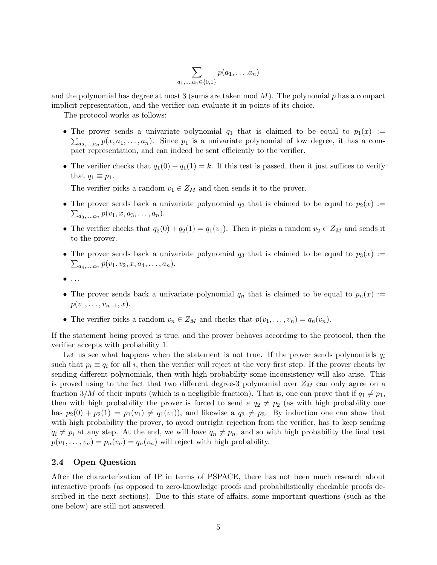$$
\sum_{a_1,\ldots,a_n\in\{0,1\}} p(a_1,\ldots,a_n)
$$

and the polynomial has degree at most 3 (sums are taken mod  $M$ ). The polynomial p has a compact implicit representation, and the verifier can evaluate it in points of its choice.

The protocol works as follows:

- The prover sends a univariate polynomial  $q_1$  that is claimed to be equal to  $p_1(x) :=$  $\sum_{a_2,\dots,a_n} p(x,a_1,\dots,a_n)$ . Since  $p_1$  is a univariate polynomial of low degree, it has a compact representation, and can indeed be sent efficiently to the verifier.
- The verifier checks that  $q_1(0) + q_1(1) = k$ . If this test is passed, then it just suffices to verify that  $q_1 \equiv p_1$ .

The verifier picks a random  $v_1 \in Z_M$  and then sends it to the prover.

- The prover sends back a univariate polynomial  $q_2$  that is claimed to be equal to  $p_2(x)$  :=  $\sum_{a_3,...,a_n} p(v_1, x, a_3, \ldots, a_n).$
- The verifier checks that  $q_2(0) + q_2(1) = q_1(v_1)$ . Then it picks a random  $v_2 \in Z_M$  and sends it to the prover.
- The prover sends back a univariate polynomial  $q_3$  that is claimed to be equal to  $p_3(x) :=$  $\sum_{a_4,...,a_n} p(v_1,v_2,x,a_4,...,a_n).$
- $\bullet$  ...
- The prover sends back a univariate polynomial  $q_n$  that is claimed to be equal to  $p_n(x) :=$  $p(v_1, \ldots, v_{n-1}, x)$ .
- The verifier picks a random  $v_n \in Z_M$  and checks that  $p(v_1, \ldots, v_n) = q_n(v_n)$ .

If the statement being proved is true, and the prover behaves according to the protocol, then the verifier accepts with probability 1.

Let us see what happens when the statement is not true. If the prover sends polynomials  $q_i$ such that  $p_i \equiv q_i$  for all i, then the verifier will reject at the very first step. If the prover cheats by sending different polynomials, then with high probability some inconsistency will also arise. This is proved using to the fact that two different degree-3 polynomial over  $Z_M$  can only agree on a fraction 3/M of their inputs (which is a negligible fraction). That is, one can prove that if  $q_1 \neq p_1$ , then with high probability the prover is forced to send a  $q_2 \neq p_2$  (as with high probability one has  $p_2(0) + p_2(1) = p_1(v_1) \neq q_1(v_1)$ , and likewise a  $q_3 \neq p_3$ . By induction one can show that with high probability the prover, to avoid outright rejection from the verifier, has to keep sending  $q_i \neq p_i$  at any step. At the end, we will have  $q_n \neq p_n$ , and so with high probability the final test  $p(v_1, \ldots, v_n) = p_n(v_n) = q_n(v_n)$  will reject with high probability.

#### 2.4 Open Question

After the characterization of IP in terms of PSPACE, there has not been much research about interactive proofs (as opposed to zero-knowledge proofs and probabilistically checkable proofs described in the next sections). Due to this state of affairs, some important questions (such as the one below) are still not answered.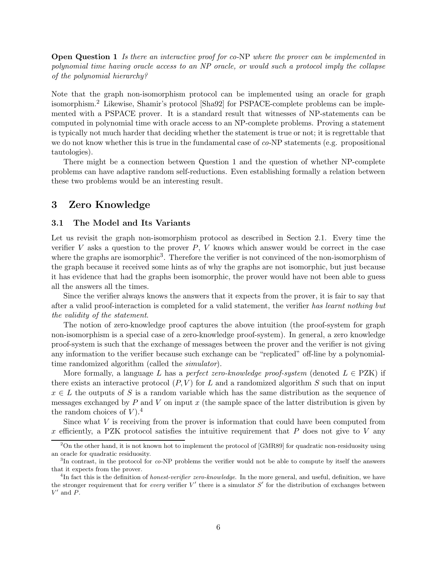**Open Question 1** Is there an interactive proof for co-NP where the prover can be implemented in polynomial time having oracle access to an NP oracle, or would such a protocol imply the collapse of the polynomial hierarchy?

Note that the graph non-isomorphism protocol can be implemented using an oracle for graph isomorphism.<sup>2</sup> Likewise, Shamir's protocol [Sha92] for PSPACE-complete problems can be implemented with a PSPACE prover. It is a standard result that witnesses of NP-statements can be computed in polynomial time with oracle access to an NP-complete problems. Proving a statement is typically not much harder that deciding whether the statement is true or not; it is regrettable that we do not know whether this is true in the fundamental case of co-NP statements (e.g. propositional tautologies).

There might be a connection between Question 1 and the question of whether NP-complete problems can have adaptive random self-reductions. Even establishing formally a relation between these two problems would be an interesting result.

### 3 Zero Knowledge

### 3.1 The Model and Its Variants

Let us revisit the graph non-isomorphism protocol as described in Section 2.1. Every time the verifier V asks a question to the prover  $P$ , V knows which answer would be correct in the case where the graphs are isomorphic<sup>3</sup>. Therefore the verifier is not convinced of the non-isomorphism of the graph because it received some hints as of why the graphs are not isomorphic, but just because it has evidence that had the graphs been isomorphic, the prover would have not been able to guess all the answers all the times.

Since the verifier always knows the answers that it expects from the prover, it is fair to say that after a valid proof-interaction is completed for a valid statement, the verifier has learnt nothing but the validity of the statement.

The notion of zero-knowledge proof captures the above intuition (the proof-system for graph non-isomorphism is a special case of a zero-knowledge proof-system). In general, a zero knowledge proof-system is such that the exchange of messages between the prover and the verifier is not giving any information to the verifier because such exchange can be "replicated" off-line by a polynomialtime randomized algorithm (called the *simulator*).

More formally, a language L has a perfect zero-knowledge proof-system (denoted  $L \in PZK$ ) if there exists an interactive protocol  $(P, V)$  for L and a randomized algorithm S such that on input  $x \in L$  the outputs of S is a random variable which has the same distribution as the sequence of messages exchanged by  $P$  and  $V$  on input  $x$  (the sample space of the latter distribution is given by the random choices of  $V$ ).<sup>4</sup>

Since what V is receiving from the prover is information that could have been computed from x efficiently, a PZK protocol satisfies the intuitive requirement that  $P$  does not give to  $V$  any

 $2$ On the other hand, it is not known hot to implement the protocol of [GMR89] for quadratic non-residuosity using an oracle for quadratic residuosity.

<sup>&</sup>lt;sup>3</sup>In contrast, in the protocol for co-NP problems the verifier would not be able to compute by itself the answers that it expects from the prover.

<sup>&</sup>lt;sup>4</sup>In fact this is the definition of *honest-verifier zero-knowledge*. In the more general, and useful, definition, we have the stronger requirement that for every verifier  $V'$  there is a simulator  $S'$  for the distribution of exchanges between  $V'$  and  $\overrightarrow{P}$ .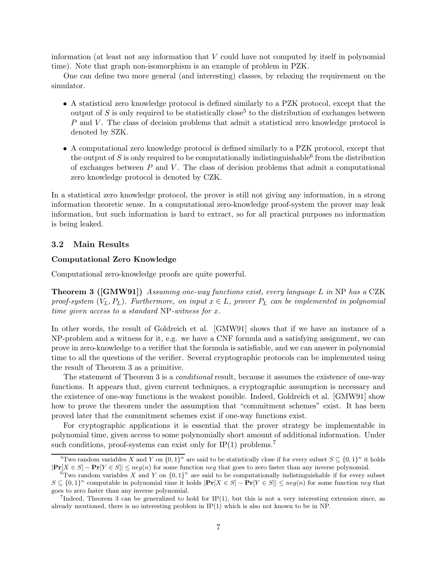information (at least not any information that V could have not computed by itself in polynomial time). Note that graph non-isomorphism is an example of problem in PZK.

One can define two more general (and interesting) classes, by relaxing the requirement on the simulator.

- A statistical zero knowledge protocol is defined similarly to a PZK protocol, except that the output of S is only required to be statistically close<sup>5</sup> to the distribution of exchanges between  $P$  and  $V$ . The class of decision problems that admit a statistical zero knowledge protocol is denoted by SZK.
- A computational zero knowledge protocol is defined similarly to a PZK protocol, except that the output of S is only required to be computationally indistinguishable  $6$  from the distribution of exchanges between  $P$  and  $V$ . The class of decision problems that admit a computational zero knowledge protocol is denoted by CZK.

In a statistical zero knowledge protocol, the prover is still not giving any information, in a strong information theoretic sense. In a computational zero-knowledge proof-system the prover may leak information, but such information is hard to extract, so for all practical purposes no information is being leaked.

#### 3.2 Main Results

#### Computational Zero Knowledge

Computational zero-knowledge proofs are quite powerful.

**Theorem 3** ([GMW91]) Assuming one-way functions exist, every language L in NP has a CZK proof-system  $(V_L, P_L)$ . Furthermore, on input  $x \in L$ , prover  $P_L$  can be implemented in polynomial time given access to a standard NP-witness for x.

In other words, the result of Goldreich et al. [GMW91] shows that if we have an instance of a NP-problem and a witness for it, e.g. we have a CNF formula and a satisfying assignment, we can prove in zero-knowledge to a verifier that the formula is satisfiable, and we can answer in polynomial time to all the questions of the verifier. Several cryptographic protocols can be implemented using the result of Theorem 3 as a primitive.

The statement of Theorem 3 is a *conditional* result, because it assumes the existence of one-way functions. It appears that, given current techniques, a cryptographic assumption is necessary and the existence of one-way functions is the weakest possible. Indeed, Goldreich et al. [GMW91] show how to prove the theorem under the assumption that "commitment schemes" exist. It has been proved later that the commitment schemes exist if one-way functions exist.

For cryptographic applications it is essential that the prover strategy be implementable in polynomial time, given access to some polynomially short amount of additional information. Under such conditions, proof-systems can exist only for  $IP(1)$  problems.<sup>7</sup>

<sup>&</sup>lt;sup>5</sup>Two random variables X and Y on  $\{0,1\}^n$  are said to be statistically close if for every subset  $S \subseteq \{0,1\}^n$  it holds  $|\mathbf{Pr}[X \in S] - \mathbf{Pr}[Y \in S]| \leq neg(n)$  for some function neg that goes to zero faster than any inverse polynomial.

 ${}^{6}$ Two random variables X and Y on  $\{0,1\}$ <sup>n</sup> are said to be computationally indistinguishable if for every subset  $S \subseteq \{0,1\}^n$  computable in polynomial time it holds  $|\mathbf{Pr}[X \in S] - \mathbf{Pr}[Y \in S]| \leq neg(n)$  for some function neg that goes to zero faster than any inverse polynomial.

<sup>&</sup>lt;sup>7</sup>Indeed, Theorem 3 can be generalized to hold for IP(1), but this is not a very interesting extension since, as already mentioned, there is no interesting problem in  $IP(1)$  which is also not known to be in NP.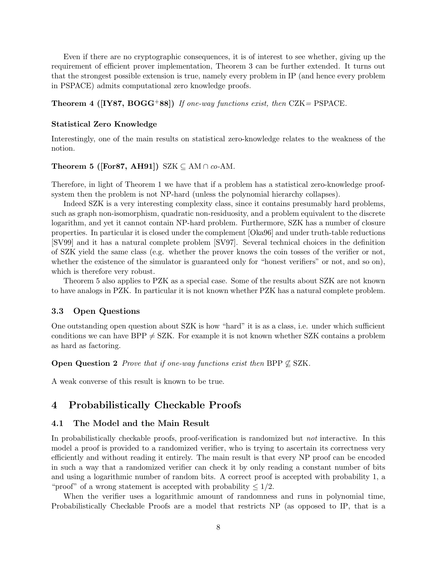Even if there are no cryptographic consequences, it is of interest to see whether, giving up the requirement of efficient prover implementation, Theorem 3 can be further extended. It turns out that the strongest possible extension is true, namely every problem in IP (and hence every problem in PSPACE) admits computational zero knowledge proofs.

**Theorem 4 ([IY87, BOGG+88])** If one-way functions exist, then  $CZK = PSPACE$ .

#### Statistical Zero Knowledge

Interestingly, one of the main results on statistical zero-knowledge relates to the weakness of the notion.

#### Theorem 5 ([For87, AH91]) SZK  $\subseteq$  AM  $\cap$  co-AM.

Therefore, in light of Theorem 1 we have that if a problem has a statistical zero-knowledge proofsystem then the problem is not NP-hard (unless the polynomial hierarchy collapses).

Indeed SZK is a very interesting complexity class, since it contains presumably hard problems, such as graph non-isomorphism, quadratic non-residuosity, and a problem equivalent to the discrete logarithm, and yet it cannot contain NP-hard problem. Furthermore, SZK has a number of closure properties. In particular it is closed under the complement [Oka96] and under truth-table reductions [SV99] and it has a natural complete problem [SV97]. Several technical choices in the definition of SZK yield the same class (e.g. whether the prover knows the coin tosses of the verifier or not, whether the existence of the simulator is guaranteed only for "honest verifiers" or not, and so on), which is therefore very robust.

Theorem 5 also applies to PZK as a special case. Some of the results about SZK are not known to have analogs in PZK. In particular it is not known whether PZK has a natural complete problem.

#### 3.3 Open Questions

One outstanding open question about SZK is how "hard" it is as a class, i.e. under which sufficient conditions we can have BPP  $\neq$  SZK. For example it is not known whether SZK contains a problem as hard as factoring.

**Open Question 2** Prove that if one-way functions exist then BPP  $\nsubseteq$  SZK.

A weak converse of this result is known to be true.

### 4 Probabilistically Checkable Proofs

#### 4.1 The Model and the Main Result

In probabilistically checkable proofs, proof-verification is randomized but not interactive. In this model a proof is provided to a randomized verifier, who is trying to ascertain its correctness very efficiently and without reading it entirely. The main result is that every NP proof can be encoded in such a way that a randomized verifier can check it by only reading a constant number of bits and using a logarithmic number of random bits. A correct proof is accepted with probability 1, a "proof" of a wrong statement is accepted with probability  $\leq 1/2$ .

When the verifier uses a logarithmic amount of randomness and runs in polynomial time, Probabilistically Checkable Proofs are a model that restricts NP (as opposed to IP, that is a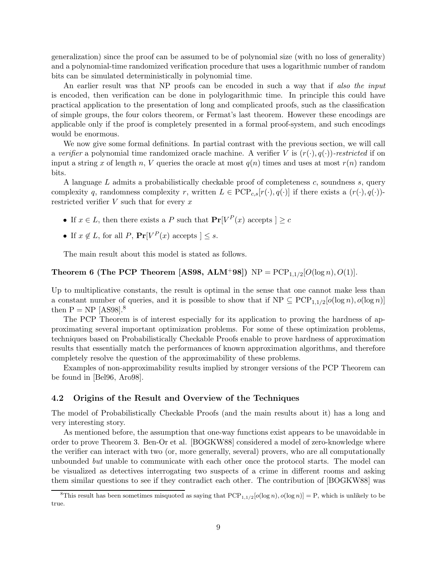generalization) since the proof can be assumed to be of polynomial size (with no loss of generality) and a polynomial-time randomized verification procedure that uses a logarithmic number of random bits can be simulated deterministically in polynomial time.

An earlier result was that NP proofs can be encoded in such a way that if also the input is encoded, then verification can be done in polylogarithmic time. In principle this could have practical application to the presentation of long and complicated proofs, such as the classification of simple groups, the four colors theorem, or Fermat's last theorem. However these encodings are applicable only if the proof is completely presented in a formal proof-system, and such encodings would be enormous.

We now give some formal definitions. In partial contrast with the previous section, we will call a verifier a polynomial time randomized oracle machine. A verifier V is  $(r(\cdot), q(\cdot))$ -restricted if on input a string x of length n, V queries the oracle at most  $q(n)$  times and uses at most  $r(n)$  random bits.

A language  $L$  admits a probabilistically checkable proof of completeness  $c$ , soundness  $s$ , query complexity q, randomness complexity r, written  $L \in \text{PCP}_{c,s}[r(\cdot), q(\cdot)]$  if there exists a  $(r(\cdot), q(\cdot))$ restricted verifier  $V$  such that for every  $x$ 

- If  $x \in L$ , then there exists a P such that  $Pr[V^P(x) \text{ accepts } ] \ge c$
- If  $x \notin L$ , for all  $P$ ,  $Pr[V^P(x) \text{ accepts } ] \leq s$ .

The main result about this model is stated as follows.

## **Theorem 6 (The PCP Theorem [AS98, ALM<sup>+</sup>98])**  $NP = PCP_{1,1/2}[O(\log n), O(1)].$

Up to multiplicative constants, the result is optimal in the sense that one cannot make less than a constant number of queries, and it is possible to show that if  $NP \subseteq PCP_{1,1/2}[o(\log n), o(\log n)]$ then  $P = NP$  [AS98].<sup>8</sup>

The PCP Theorem is of interest especially for its application to proving the hardness of approximating several important optimization problems. For some of these optimization problems, techniques based on Probabilistically Checkable Proofs enable to prove hardness of approximation results that essentially match the performances of known approximation algorithms, and therefore completely resolve the question of the approximability of these problems.

Examples of non-approximability results implied by stronger versions of the PCP Theorem can be found in [Bel96, Aro98].

#### 4.2 Origins of the Result and Overview of the Techniques

The model of Probabilistically Checkable Proofs (and the main results about it) has a long and very interesting story.

As mentioned before, the assumption that one-way functions exist appears to be unavoidable in order to prove Theorem 3. Ben-Or et al. [BOGKW88] considered a model of zero-knowledge where the verifier can interact with two (or, more generally, several) provers, who are all computationally unbounded but unable to communicate with each other once the protocol starts. The model can be visualized as detectives interrogating two suspects of a crime in different rooms and asking them similar questions to see if they contradict each other. The contribution of [BOGKW88] was

<sup>&</sup>lt;sup>8</sup>This result has been sometimes misquoted as saying that  $PCP_{1,1/2}[o(\log n), o(\log n)] = P$ , which is unlikely to be true.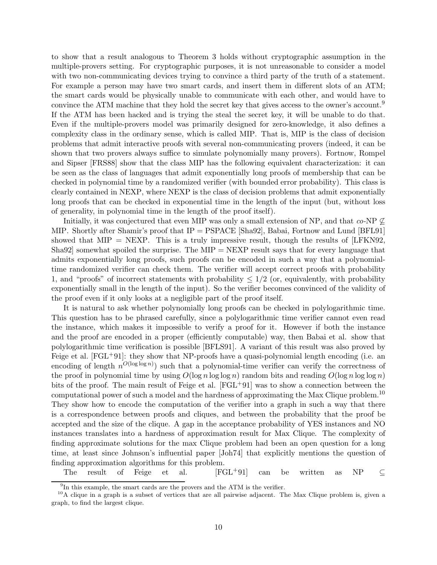to show that a result analogous to Theorem 3 holds without cryptographic assumption in the multiple-provers setting. For cryptographic purposes, it is not unreasonable to consider a model with two non-communicating devices trying to convince a third party of the truth of a statement. For example a person may have two smart cards, and insert them in different slots of an ATM; the smart cards would be physically unable to communicate with each other, and would have to convince the ATM machine that they hold the secret key that gives access to the owner's account.<sup>9</sup> If the ATM has been hacked and is trying the steal the secret key, it will be unable to do that. Even if the multiple-provers model was primarily designed for zero-knowledge, it also defines a complexity class in the ordinary sense, which is called MIP. That is, MIP is the class of decision problems that admit interactive proofs with several non-communicating provers (indeed, it can be shown that two provers always suffice to simulate polynomially many provers). Fortnow, Rompel and Sipser [FRS88] show that the class MIP has the following equivalent characterization: it can be seen as the class of languages that admit exponentially long proofs of membership that can be checked in polynomial time by a randomized verifier (with bounded error probability). This class is clearly contained in NEXP, where NEXP is the class of decision problems that admit exponentially long proofs that can be checked in exponential time in the length of the input (but, without loss of generality, in polynomial time in the length of the proof itself).

Initially, it was conjectured that even MIP was only a small extension of NP, and that  $co\text{-NP }\not\subset$ MIP. Shortly after Shamir's proof that IP = PSPACE [Sha92], Babai, Fortnow and Lund [BFL91] showed that  $MIP = NEXP$ . This is a truly impressive result, though the results of [LFKN92, Sha92] somewhat spoiled the surprise. The  $MIP = NEXP$  result says that for every language that admits exponentially long proofs, such proofs can be encoded in such a way that a polynomialtime randomized verifier can check them. The verifier will accept correct proofs with probability 1, and "proofs" of incorrect statements with probability  $\leq 1/2$  (or, equivalently, with probability exponentially small in the length of the input). So the verifier becomes convinced of the validity of the proof even if it only looks at a negligible part of the proof itself.

It is natural to ask whether polynomially long proofs can be checked in polylogarithmic time. This question has to be phrased carefully, since a polylogarithmic time verifier cannot even read the instance, which makes it impossible to verify a proof for it. However if both the instance and the proof are encoded in a proper (efficiently computable) way, then Babai et al. show that polylogarithmic time verification is possible [BFLS91]. A variant of this result was also proved by Feige et al.  $[FGL+91]$ : they show that NP-proofs have a quasi-polynomial length encoding (i.e. an encoding of length  $n^{O(\log \log n)}$  such that a polynomial-time verifier can verify the correctness of the proof in polynomial time by using  $O(\log n \log \log n)$  random bits and reading  $O(\log n \log \log n)$ bits of the proof. The main result of Feige et al.  $[FGL+91]$  was to show a connection between the computational power of such a model and the hardness of approximating the Max Clique problem.<sup>10</sup> They show how to encode the computation of the verifier into a graph in such a way that there is a correspondence between proofs and cliques, and between the probability that the proof be accepted and the size of the clique. A gap in the acceptance probability of YES instances and NO instances translates into a hardness of approximation result for Max Clique. The complexity of finding approximate solutions for the max Clique problem had been an open question for a long time, at least since Johnson's influential paper [Joh74] that explicitly mentions the question of finding approximation algorithms for this problem.

The result of Feige et al. [FGL<sup>+</sup>91] can be written as NP  $\subseteq$ 

<sup>&</sup>lt;sup>9</sup>In this example, the smart cards are the provers and the ATM is the verifier.

 $10A$  clique in a graph is a subset of vertices that are all pairwise adjacent. The Max Clique problem is, given a graph, to find the largest clique.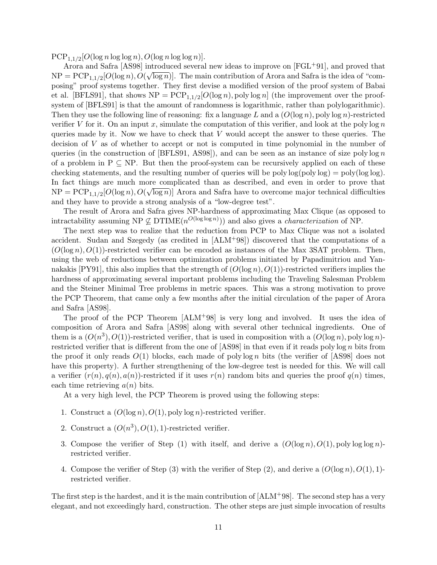$PCP_{1,1/2}[O(\log n \log \log n), O(\log n \log \log n)].$ 

Arora and Safra [AS98] introduced several new ideas to improve on [FGL+91], and proved that  $NP = PCP_{1,1/2}[O(\log n), O(\sqrt{\log n})].$  The main contribution of Arora and Safra is the idea of "composing" proof systems together. They first devise a modified version of the proof system of Babai et al. [BFLS91], that shows  $NP = PCP_{1,1/2}[O(\log n), \text{poly}\log n]$  (the improvement over the proofsystem of [BFLS91] is that the amount of randomness is logarithmic, rather than polylogarithmic). Then they use the following line of reasoning: fix a language L and a  $(O(\log n), \text{poly}\log n)$ -restricted verifier V for it. On an input x, simulate the computation of this verifier, and look at the poly  $\log n$ queries made by it. Now we have to check that  $V$  would accept the answer to these queries. The decision of V as of whether to accept or not is computed in time polynomial in the number of queries (in the construction of  $[BFLS91, AS98]$ ), and can be seen as an instance of size poly log n of a problem in  $P \subseteq NP$ . But then the proof-system can be recursively applied on each of these checking statements, and the resulting number of queries will be poly  $log(poly log) = poly(log log)$ . In fact things are much more complicated than as described, and even in order to prove that  $NP = PCP_{1,1/2}[O(\log n), O(\sqrt{\log n})]$  Arora and Safra have to overcome major technical difficulties and they have to provide a strong analysis of a "low-degree test".

The result of Arora and Safra gives NP-hardness of approximating Max Clique (as opposed to intractability assuming  $NP \nsubseteq DTIME(n^{O(\log \log n)}))$  and also gives a *characterization* of NP.

The next step was to realize that the reduction from PCP to Max Clique was not a isolated accident. Sudan and Szegedy (as credited in [ALM+98]) discovered that the computations of a  $(O(\log n), O(1))$ -restricted verifier can be encoded as instances of the Max 3SAT problem. Then, using the web of reductions between optimization problems initiated by Papadimitriou and Yannakakis  $[PY91]$ , this also implies that the strength of  $(O(\log n), O(1))$ -restricted verifiers implies the hardness of approximating several important problems including the Traveling Salesman Problem and the Steiner Minimal Tree problems in metric spaces. This was a strong motivation to prove the PCP Theorem, that came only a few months after the initial circulation of the paper of Arora and Safra [AS98].

The proof of the PCP Theorem [ALM+98] is very long and involved. It uses the idea of composition of Arora and Safra [AS98] along with several other technical ingredients. One of them is a  $(O(n^3), O(1))$ -restricted verifier, that is used in composition with a  $(O(\log n), \text{poly}\log n)$ restricted verifier that is different from the one of  $[ASS8]$  in that even if it reads poly log n bits from the proof it only reads  $O(1)$  blocks, each made of polylog n bits (the verifier of [AS98] does not have this property). A further strengthening of the low-degree test is needed for this. We will call a verifier  $(r(n), q(n), a(n))$ -restricted if it uses  $r(n)$  random bits and queries the proof  $q(n)$  times, each time retrieving  $a(n)$  bits.

At a very high level, the PCP Theorem is proved using the following steps:

- 1. Construct a  $(O(\log n), O(1), \text{poly}\log n)$ -restricted verifier.
- 2. Construct a  $(O(n^3), O(1), 1)$ -restricted verifier.
- 3. Compose the verifier of Step (1) with itself, and derive a  $(O(\log n), O(1), \text{poly}\log \log n)$ restricted verifier.
- 4. Compose the verifier of Step (3) with the verifier of Step (2), and derive a  $(O(\log n), O(1), 1)$ restricted verifier.

The first step is the hardest, and it is the main contribution of  $[ALM+98]$ . The second step has a very elegant, and not exceedingly hard, construction. The other steps are just simple invocation of results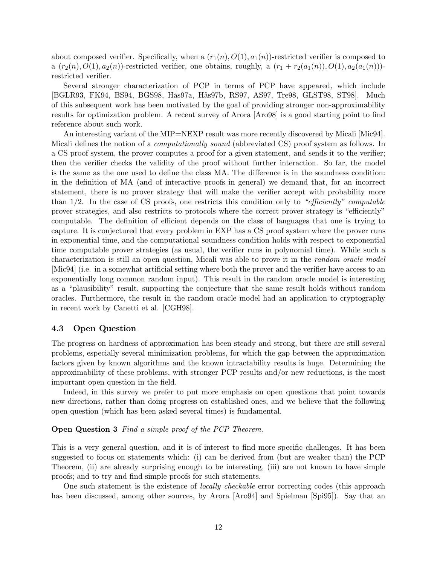about composed verifier. Specifically, when a  $(r_1(n), O(1), a_1(n))$ -restricted verifier is composed to a  $(r_2(n), O(1), a_2(n))$ -restricted verifier, one obtains, roughly, a  $(r_1 + r_2(a_1(n)), O(1), a_2(a_1(n)))$ restricted verifier.

Several stronger characterization of PCP in terms of PCP have appeared, which include [BGLR93, FK94, BS94, BGS98, Hås97a, Hås97b, RS97, AS97, Tre98, GLST98, ST98]. Much of this subsequent work has been motivated by the goal of providing stronger non-approximability results for optimization problem. A recent survey of Arora [Aro98] is a good starting point to find reference about such work.

An interesting variant of the MIP=NEXP result was more recently discovered by Micali [Mic94]. Micali defines the notion of a *computationally sound* (abbreviated CS) proof system as follows. In a CS proof system, the prover computes a proof for a given statement, and sends it to the verifier; then the verifier checks the validity of the proof without further interaction. So far, the model is the same as the one used to define the class MA. The difference is in the soundness condition: in the definition of MA (and of interactive proofs in general) we demand that, for an incorrect statement, there is no prover strategy that will make the verifier accept with probability more than  $1/2$ . In the case of CS proofs, one restricts this condition only to "efficiently" computable prover strategies, and also restricts to protocols where the correct prover strategy is "efficiently" computable. The definition of efficient depends on the class of languages that one is trying to capture. It is conjectured that every problem in EXP has a CS proof system where the prover runs in exponential time, and the computational soundness condition holds with respect to exponential time computable prover strategies (as usual, the verifier runs in polynomial time). While such a characterization is still an open question, Micali was able to prove it in the random oracle model [Mic94] (i.e. in a somewhat artificial setting where both the prover and the verifier have access to an exponentially long common random input). This result in the random oracle model is interesting as a "plausibility" result, supporting the conjecture that the same result holds without random oracles. Furthermore, the result in the random oracle model had an application to cryptography in recent work by Canetti et al. [CGH98].

#### 4.3 Open Question

The progress on hardness of approximation has been steady and strong, but there are still several problems, especially several minimization problems, for which the gap between the approximation factors given by known algorithms and the known intractability results is huge. Determining the approximability of these problems, with stronger PCP results and/or new reductions, is the most important open question in the field.

Indeed, in this survey we prefer to put more emphasis on open questions that point towards new directions, rather than doing progress on established ones, and we believe that the following open question (which has been asked several times) is fundamental.

#### Open Question 3 Find a simple proof of the PCP Theorem.

This is a very general question, and it is of interest to find more specific challenges. It has been suggested to focus on statements which: (i) can be derived from (but are weaker than) the PCP Theorem, (ii) are already surprising enough to be interesting, (iii) are not known to have simple proofs; and to try and find simple proofs for such statements.

One such statement is the existence of *locally checkable* error correcting codes (this approach has been discussed, among other sources, by Arora [Aro94] and Spielman [Spi95]). Say that an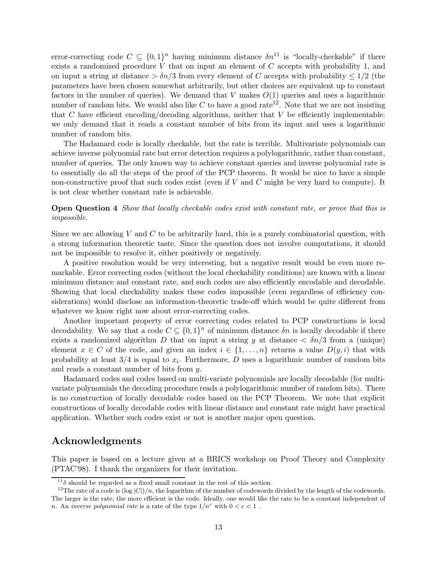error-correcting code  $C \subseteq \{0,1\}^n$  having minimum distance  $\delta n^{11}$  is "locally-checkable" if there exists a randomized procedure  $V$  that on input an element of  $C$  accepts with probability 1, and on input a string at distance  $\frac{\partial n}{3}$  from every element of C accepts with probability  $\leq 1/2$  (the parameters have been chosen somewhat arbitrarily, but other choices are equivalent up to constant factors in the number of queries). We demand that V makes  $O(1)$  queries and uses a logarithmic number of random bits. We would also like  $C$  to have a good rate<sup>12</sup>. Note that we are not insisting that C have efficient encoding/decoding algorithms, neither that V be efficiently implementable: we only demand that it reads a constant number of bits from its input and uses a logarithmic number of random bits.

The Hadamard code is locally checkable, but the rate is terrible. Multivariate polynomials can achieve inverse polynomial rate but error detection requires a polylogarithmic, rather than constant, number of queries. The only known way to achieve constant queries and inverse polynomial rate is to essentially do all the steps of the proof of the PCP theorem. It would be nice to have a simple non-constructive proof that such codes exist (even if  $V$  and  $C$  might be very hard to compute). It is not clear whether constant rate is achievable.

**Open Question 4** Show that locally checkable codes exist with constant rate, or prove that this is impossible.

Since we are allowing  $V$  and  $C$  to be arbitrarily hard, this is a purely combinatorial question, with a strong information theoretic taste. Since the question does not involve computations, it should not be impossible to resolve it, either positively or negatively.

A positive resolution would be very interesting, but a negative result would be even more remarkable. Error correcting codes (without the local checkability conditions) are known with a linear minimum distance and constant rate, and such codes are also efficiently encodable and decodable. Showing that local checkability makes these codes impossible (even regardless of efficiency considerations) would disclose an information-theoretic trade-off which would be quite different from whatever we know right now about error-correcting codes.

Another important property of error correcting codes related to PCP constructions is local decodability. We say that a code  $C \subseteq \{0,1\}^n$  of minimum distance  $\delta n$  is locally decodable if there exists a randomized algorithm D that on input a string y at distance  $\langle \delta n/3 \rangle$  from a (unique) element  $x \in C$  of the code, and given an index  $i \in \{1, \ldots, n\}$  returns a value  $D(y, i)$  that with probability at least  $3/4$  is equal to  $x_i$ . Furthermore, D uses a logarithmic number of random bits and reads a constant number of bits from y.

Hadamard codes and codes based on multi-variate polynomials are locally decodable (for multivariate polynomials the decoding procedure reads a polylogarithmic number of random bits). There is no construction of locally decodable codes based on the PCP Theorem. We note that explicit constructions of locally decodable codes with linear distance and constant rate might have practical application. Whether such codes exist or not is another major open question.

## Acknowledgments

This paper is based on a lecture given at a BRICS workshop on Proof Theory and Complexity (PTAC'98). I thank the organizers for their invitation.

 $^{11}\delta$  should be regarded as a fixed small constant in the rest of this section.

<sup>&</sup>lt;sup>12</sup>The rate of a code is  $(\log |C|)/n$ , the logarithm of the number of codewords divided by the length of the codewords. The larger is the rate, the more efficient is the code. Ideally, one would like the rate to be a constant independent of n. An inverse polynomial rate is a rate of the type  $1/n^c$  with  $0 < c < 1$ .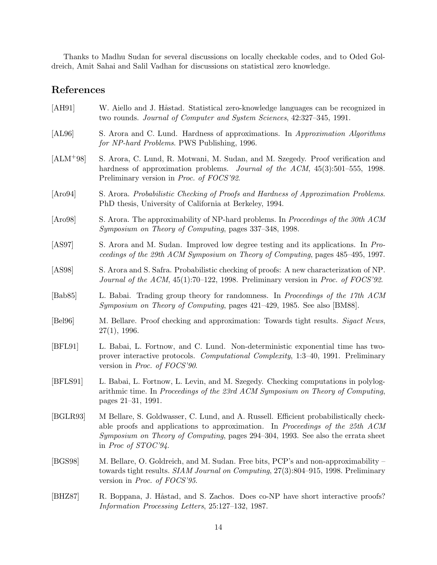Thanks to Madhu Sudan for several discussions on locally checkable codes, and to Oded Goldreich, Amit Sahai and Salil Vadhan for discussions on statistical zero knowledge.

# References

| [AH91]      | W. Aiello and J. Håstad. Statistical zero-knowledge languages can be recognized in<br>two rounds. Journal of Computer and System Sciences, 42:327-345, 1991.                                                                                                                              |
|-------------|-------------------------------------------------------------------------------------------------------------------------------------------------------------------------------------------------------------------------------------------------------------------------------------------|
| [AL96]      | S. Arora and C. Lund. Hardness of approximations. In Approximation Algorithms<br>for NP-hard Problems. PWS Publishing, 1996.                                                                                                                                                              |
| $[ALM+98]$  | S. Arora, C. Lund, R. Motwani, M. Sudan, and M. Szegedy. Proof verification and<br>hardness of approximation problems. <i>Journal of the ACM</i> , $45(3):501-555$ , 1998.<br>Preliminary version in Proc. of FOCS'92.                                                                    |
| [Aro94]     | S. Arora. Probabilistic Checking of Proofs and Hardness of Approximation Problems.<br>PhD thesis, University of California at Berkeley, 1994.                                                                                                                                             |
| [Aro98]     | S. Arora. The approximability of NP-hard problems. In Proceedings of the 30th ACM<br>Symposium on Theory of Computing, pages 337-348, 1998.                                                                                                                                               |
| [AS97]      | S. Arora and M. Sudan. Improved low degree testing and its applications. In Pro-<br>ceedings of the 29th ACM Symposium on Theory of Computing, pages 485–495, 1997.                                                                                                                       |
| [ASS8]      | S. Arora and S. Safra. Probabilistic checking of proofs: A new characterization of NP.<br>Journal of the ACM, 45(1):70-122, 1998. Preliminary version in Proc. of FOCS'92.                                                                                                                |
| [Bab $85$ ] | L. Babai. Trading group theory for randomness. In <i>Proceedings of the 17th ACM</i><br>Symposium on Theory of Computing, pages 421-429, 1985. See also [BM88].                                                                                                                           |
| [Bel96]     | M. Bellare. Proof checking and approximation: Towards tight results. <i>Sigact News</i> ,<br>27(1), 1996.                                                                                                                                                                                 |
| [BFL91]     | L. Babai, L. Fortnow, and C. Lund. Non-deterministic exponential time has two-<br>prover interactive protocols. Computational Complexity, 1:3-40, 1991. Preliminary<br>version in <i>Proc. of FOCS</i> '90.                                                                               |
| [BFLS91]    | L. Babai, L. Fortnow, L. Levin, and M. Szegedy. Checking computations in polylog-<br>arithmic time. In Proceedings of the 23rd ACM Symposium on Theory of Computing,<br>pages 21-31, 1991.                                                                                                |
| [BGLR93]    | M Bellare, S. Goldwasser, C. Lund, and A. Russell. Efficient probabilistically check-<br>able proofs and applications to approximation. In Proceedings of the 25th ACM<br>Symposium on Theory of Computing, pages 294-304, 1993. See also the errata sheet<br>in <i>Proc of STOC</i> '94. |
| [BGS98]     | M. Bellare, O. Goldreich, and M. Sudan. Free bits, PCP's and non-approximability –<br>towards tight results. SIAM Journal on Computing, 27(3):804–915, 1998. Preliminary<br>version in <i>Proc. of FOCS'95</i> .                                                                          |
| [BHZ87]     | R. Boppana, J. Håstad, and S. Zachos. Does co-NP have short interactive proofs?<br>Information Processing Letters, 25:127-132, 1987.                                                                                                                                                      |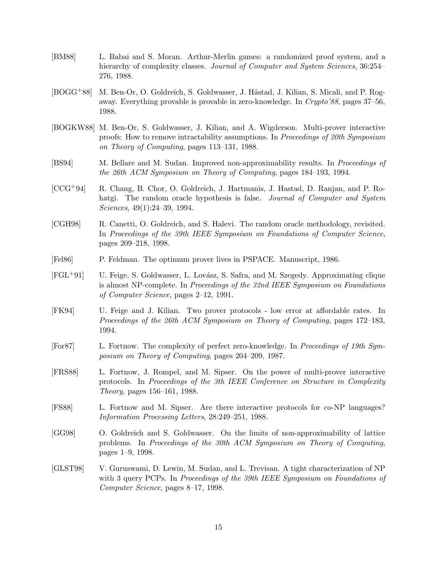- [BM88] L. Babai and S. Moran. Arthur-Merlin games: a randomized proof system, and a hierarchy of complexity classes. Journal of Computer and System Sciences, 36:254– 276, 1988.
- [BOGG<sup>+</sup>88] M. Ben-Or, O. Goldreich, S. Goldwasser, J. Håstad, J. Kilian, S. Micali, and P. Rogaway. Everything provable is provable in zero-knowledge. In Crypto'88, pages 37–56, 1988.
- [BOGKW88] M. Ben-Or, S. Goldwasser, J. Kilian, and A. Wigderson. Multi-prover interactive proofs: How to remove intractability assumptions. In Proceedings of 20th Symposium on Theory of Computing, pages 113–131, 1988.
- [BS94] M. Bellare and M. Sudan. Improved non-approximability results. In Proceedings of the 26th ACM Symposium on Theory of Computing, pages 184–193, 1994.
- [CCG+94] R. Chang, B. Chor, O. Goldreich, J. Hartmanis, J. Hastad, D. Ranjan, and P. Rohatgi. The random oracle hypothesis is false. Journal of Computer and System Sciences, 49(1):24–39, 1994.
- [CGH98] R. Canetti, O. Goldreich, and S. Halevi. The random oracle methodology, revisited. In Proceedings of the 39th IEEE Symposium on Foundations of Computer Science, pages 209–218, 1998.
- [Fel86] P. Feldman. The optimum prover lives in PSPACE. Manuscript, 1986.
- [FGL+91] U. Feige, S. Goldwasser, L. Lov´asz, S. Safra, and M. Szegedy. Approximating clique is almost NP-complete. In Proceedings of the 32nd IEEE Symposium on Foundations of Computer Science, pages 2–12, 1991.
- [FK94] U. Feige and J. Kilian. Two prover protocols low error at affordable rates. In Proceedings of the 26th ACM Symposium on Theory of Computing, pages 172–183, 1994.
- [For87] L. Fortnow. The complexity of perfect zero-knowledge. In Proceedings of 19th Symposium on Theory of Computing, pages 204–209, 1987.
- [FRS88] L. Fortnow, J. Rompel, and M. Sipser. On the power of multi-prover interactive protocols. In Proceedings of the 3th IEEE Conference on Structure in Complexity Theory, pages 156–161, 1988.
- [FS88] L. Fortnow and M. Sipser. Are there interactive protocols for co-NP languages? Information Processing Letters, 28:249–251, 1988.
- [GG98] O. Goldreich and S. Goldwasser. On the limits of non-approximability of lattice problems. In Proceedings of the 30th ACM Symposium on Theory of Computing, pages 1–9, 1998.
- [GLST98] V. Guruswami, D. Lewin, M. Sudan, and L. Trevisan. A tight characterization of NP with 3 query PCPs. In Proceedings of the 39th IEEE Symposium on Foundations of Computer Science, pages 8–17, 1998.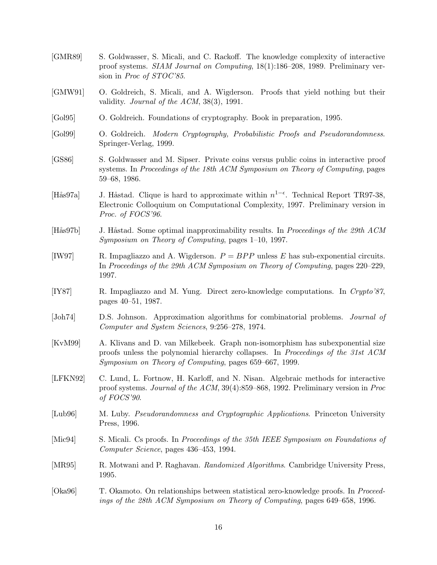| [GMR89]                  | S. Goldwasser, S. Micali, and C. Rackoff. The knowledge complexity of interactive<br>proof systems. SIAM Journal on Computing, $18(1):186-208$ , 1989. Preliminary ver-<br>sion in <i>Proc of STOC'85</i> .                  |
|--------------------------|------------------------------------------------------------------------------------------------------------------------------------------------------------------------------------------------------------------------------|
| [GMW91]                  | O. Goldreich, S. Micali, and A. Wigderson. Proofs that yield nothing but their<br>validity. Journal of the $ACM$ , 38(3), 1991.                                                                                              |
| [Gol95]                  | O. Goldreich. Foundations of cryptography. Book in preparation, 1995.                                                                                                                                                        |
| [Gol99]                  | O. Goldreich. Modern Cryptography, Probabilistic Proofs and Pseudorandomness.<br>Springer-Verlag, 1999.                                                                                                                      |
| [GS86]                   | S. Goldwasser and M. Sipser. Private coins versus public coins in interactive proof<br>systems. In Proceedings of the 18th ACM Symposium on Theory of Computing, pages<br>59-68, 1986.                                       |
| $[\text{H\ddot{a}s97a}]$ | J. Håstad. Clique is hard to approximate within $n^{1-\epsilon}$ . Technical Report TR97-38,<br>Electronic Colloquium on Computational Complexity, 1997. Preliminary version in<br>Proc. of FOCS'96.                         |
| $[H\aa 97b]$             | J. Håstad. Some optimal inapproximability results. In Proceedings of the 29th ACM<br>Symposium on Theory of Computing, pages $1-10$ , 1997.                                                                                  |
| [IW97]                   | R. Impagliazzo and A. Wigderson. $P = BPP$ unless E has sub-exponential circuits.<br>In Proceedings of the 29th ACM Symposium on Theory of Computing, pages 220–229,<br>1997.                                                |
| [IY87]                   | R. Impagliazzo and M. Yung. Direct zero-knowledge computations. In Crypto'87,<br>pages 40–51, 1987.                                                                                                                          |
| [John74]                 | D.S. Johnson. Approximation algorithms for combinatorial problems. Journal of<br>Computer and System Sciences, 9:256-278, 1974.                                                                                              |
| [KvM99]                  | A. Klivans and D. van Milkebeek. Graph non-isomorphism has subexponential size<br>proofs unless the polynomial hierarchy collapses. In Proceedings of the 31st ACM<br>Symposium on Theory of Computing, pages 659–667, 1999. |
| [LFKN92]                 | C. Lund, L. Fortnow, H. Karloff, and N. Nisan. Algebraic methods for interactive<br>proof systems. Journal of the ACM, $39(4)$ :859–868, 1992. Preliminary version in <i>Proo</i><br>of $FOCS'90$ .                          |
| [Lub96]                  | M. Luby. <i>Pseudorandomness and Cryptographic Applications</i> . Princeton University<br>Press, 1996.                                                                                                                       |
| [Mic $94$ ]              | S. Micali. Cs proofs. In Proceedings of the 35th IEEE Symposium on Foundations of<br>Computer Science, pages 436–453, 1994.                                                                                                  |
| [MR95]                   | R. Motwani and P. Raghavan. Randomized Algorithms. Cambridge University Press,<br>1995.                                                                                                                                      |
| [Oka96]                  | T. Okamoto. On relationships between statistical zero-knowledge proofs. In Proceed-<br>ings of the 28th ACM Symposium on Theory of Computing, pages 649–658, 1996.                                                           |